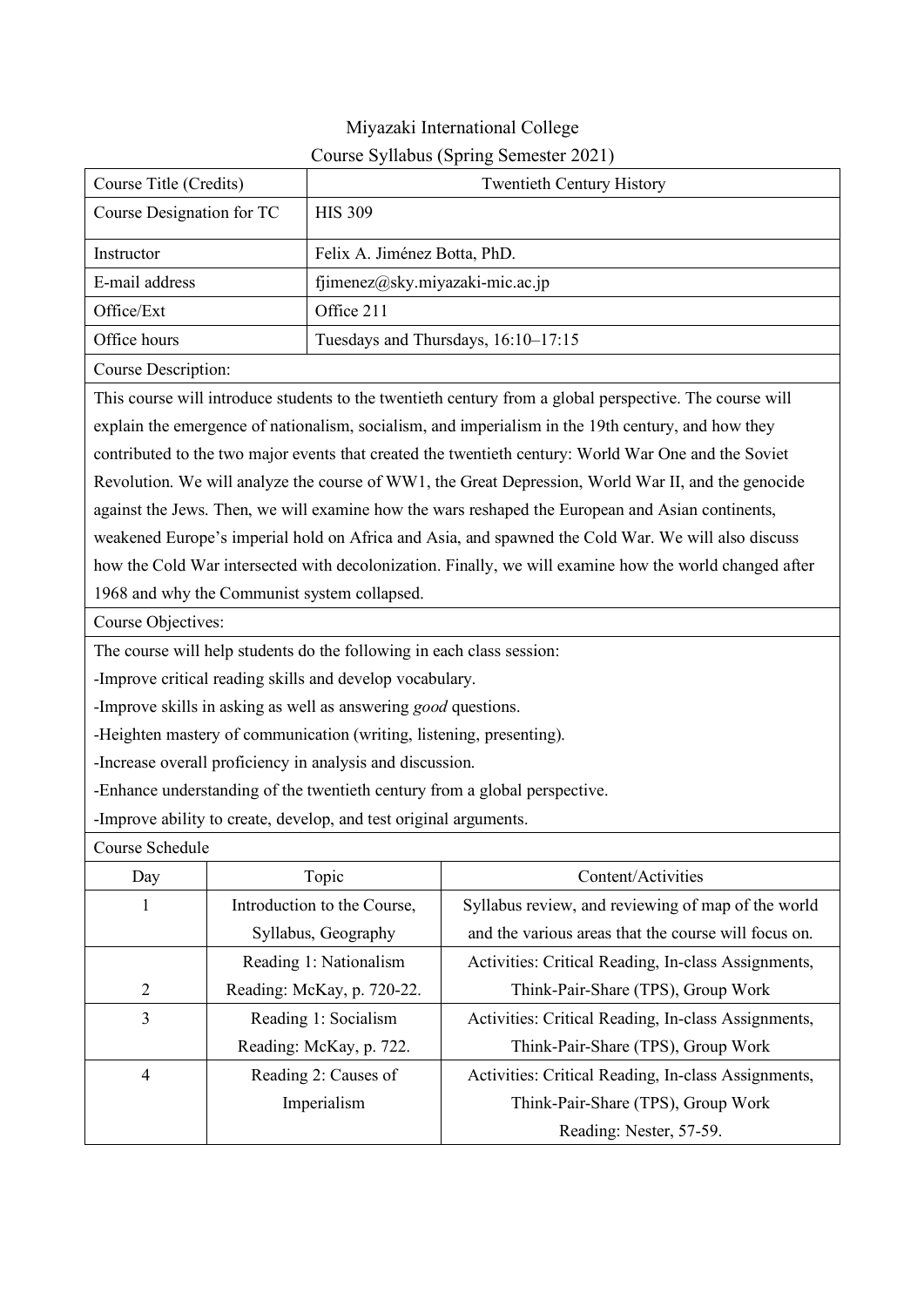### Miyazaki International College Course Syllabus (Spring Semester 2021)

| Course Title (Credits)                                                                                  |  |                                                                       | <b>Twentieth Century History</b>                                                                     |  |  |  |
|---------------------------------------------------------------------------------------------------------|--|-----------------------------------------------------------------------|------------------------------------------------------------------------------------------------------|--|--|--|
| Course Designation for TC                                                                               |  | <b>HIS 309</b>                                                        |                                                                                                      |  |  |  |
| Felix A. Jiménez Botta, PhD.<br>Instructor                                                              |  |                                                                       |                                                                                                      |  |  |  |
| E-mail address                                                                                          |  | fjimenez@sky.miyazaki-mic.ac.jp                                       |                                                                                                      |  |  |  |
| Office/Ext                                                                                              |  | Office 211                                                            |                                                                                                      |  |  |  |
| Office hours                                                                                            |  |                                                                       | Tuesdays and Thursdays, 16:10-17:15                                                                  |  |  |  |
| Course Description:                                                                                     |  |                                                                       |                                                                                                      |  |  |  |
| This course will introduce students to the twentieth century from a global perspective. The course will |  |                                                                       |                                                                                                      |  |  |  |
|                                                                                                         |  |                                                                       | explain the emergence of nationalism, socialism, and imperialism in the 19th century, and how they   |  |  |  |
|                                                                                                         |  |                                                                       | contributed to the two major events that created the twentieth century: World War One and the Soviet |  |  |  |
|                                                                                                         |  |                                                                       | Revolution. We will analyze the course of WW1, the Great Depression, World War II, and the genocide  |  |  |  |
|                                                                                                         |  |                                                                       | against the Jews. Then, we will examine how the wars reshaped the European and Asian continents,     |  |  |  |
|                                                                                                         |  |                                                                       | weakened Europe's imperial hold on Africa and Asia, and spawned the Cold War. We will also discuss   |  |  |  |
| how the Cold War intersected with decolonization. Finally, we will examine how the world changed after  |  |                                                                       |                                                                                                      |  |  |  |
|                                                                                                         |  | 1968 and why the Communist system collapsed.                          |                                                                                                      |  |  |  |
| Course Objectives:                                                                                      |  |                                                                       |                                                                                                      |  |  |  |
|                                                                                                         |  | The course will help students do the following in each class session: |                                                                                                      |  |  |  |
|                                                                                                         |  | -Improve critical reading skills and develop vocabulary.              |                                                                                                      |  |  |  |
| -Improve skills in asking as well as answering <i>good</i> questions.                                   |  |                                                                       |                                                                                                      |  |  |  |
|                                                                                                         |  | -Heighten mastery of communication (writing, listening, presenting).  |                                                                                                      |  |  |  |
|                                                                                                         |  | -Increase overall proficiency in analysis and discussion.             |                                                                                                      |  |  |  |
| -Enhance understanding of the twentieth century from a global perspective.                              |  |                                                                       |                                                                                                      |  |  |  |
|                                                                                                         |  | -Improve ability to create, develop, and test original arguments.     |                                                                                                      |  |  |  |
| Course Schedule                                                                                         |  |                                                                       |                                                                                                      |  |  |  |
| Day                                                                                                     |  | Topic                                                                 | Content/Activities                                                                                   |  |  |  |
| $\bf{l}$                                                                                                |  | Introduction to the Course,                                           | Syllabus review, and reviewing of map of the world                                                   |  |  |  |
|                                                                                                         |  | Syllabus, Geography                                                   | and the various areas that the course will focus on.                                                 |  |  |  |
|                                                                                                         |  | Reading 1: Nationalism                                                | Activities: Critical Reading, In-class Assignments,                                                  |  |  |  |
| $\overline{2}$                                                                                          |  | Reading: McKay, p. 720-22.                                            | Think-Pair-Share (TPS), Group Work                                                                   |  |  |  |
| 3                                                                                                       |  | Reading 1: Socialism                                                  | Activities: Critical Reading, In-class Assignments,                                                  |  |  |  |
|                                                                                                         |  | Reading: McKay, p. 722.                                               | Think-Pair-Share (TPS), Group Work                                                                   |  |  |  |
| $\overline{4}$                                                                                          |  | Reading 2: Causes of                                                  | Activities: Critical Reading, In-class Assignments,                                                  |  |  |  |
|                                                                                                         |  | Imperialism                                                           | Think-Pair-Share (TPS), Group Work                                                                   |  |  |  |
|                                                                                                         |  |                                                                       | Reading: Nester, 57-59.                                                                              |  |  |  |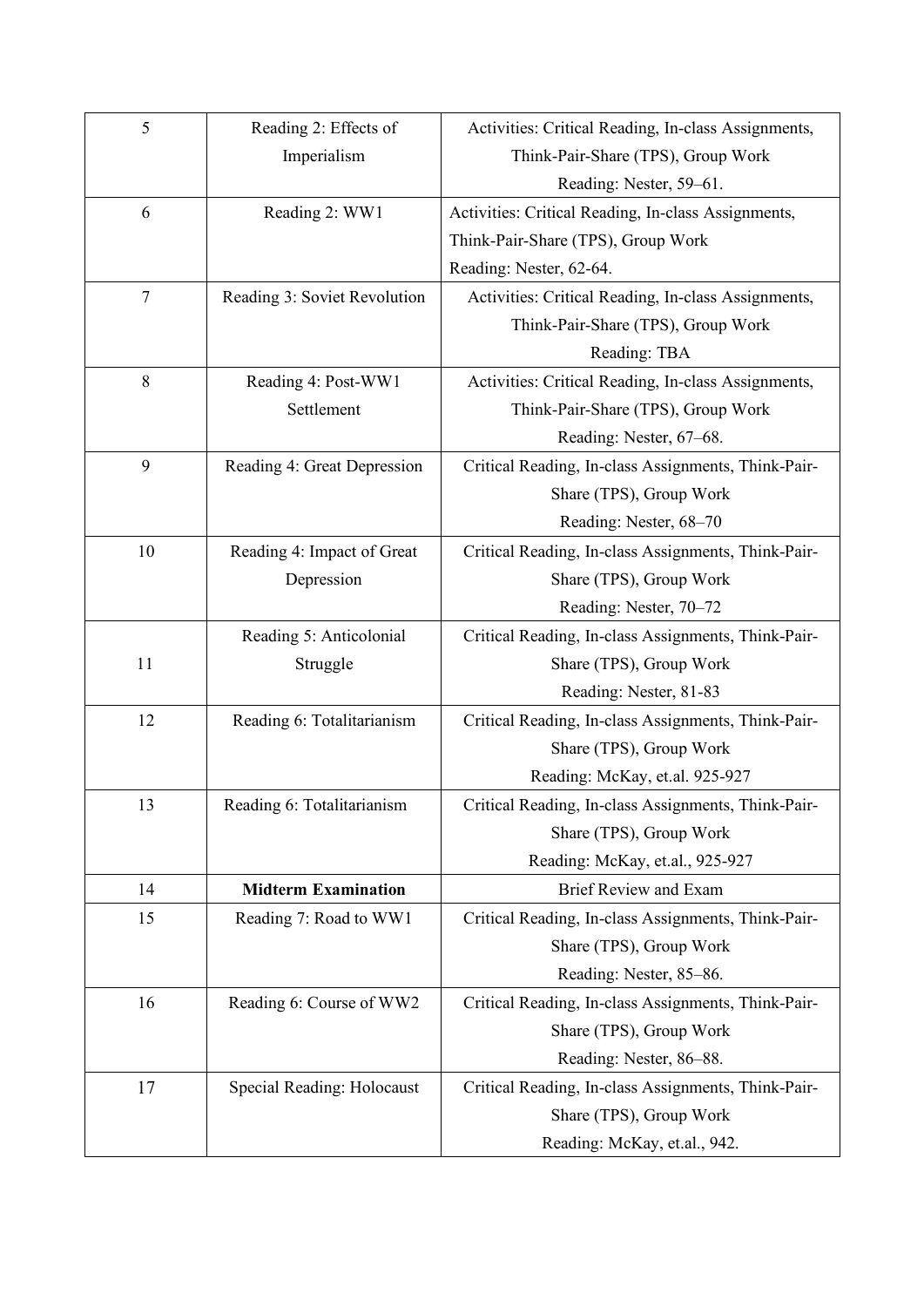| 5              | Reading 2: Effects of        | Activities: Critical Reading, In-class Assignments, |  |  |
|----------------|------------------------------|-----------------------------------------------------|--|--|
|                | Imperialism                  | Think-Pair-Share (TPS), Group Work                  |  |  |
|                |                              | Reading: Nester, 59-61.                             |  |  |
| 6              | Reading 2: WW1               | Activities: Critical Reading, In-class Assignments, |  |  |
|                |                              | Think-Pair-Share (TPS), Group Work                  |  |  |
|                |                              | Reading: Nester, 62-64.                             |  |  |
| $\overline{7}$ | Reading 3: Soviet Revolution | Activities: Critical Reading, In-class Assignments, |  |  |
|                |                              | Think-Pair-Share (TPS), Group Work                  |  |  |
|                |                              | Reading: TBA                                        |  |  |
| 8              | Reading 4: Post-WW1          | Activities: Critical Reading, In-class Assignments, |  |  |
|                | Settlement                   | Think-Pair-Share (TPS), Group Work                  |  |  |
|                |                              | Reading: Nester, 67–68.                             |  |  |
| 9              | Reading 4: Great Depression  | Critical Reading, In-class Assignments, Think-Pair- |  |  |
|                |                              | Share (TPS), Group Work                             |  |  |
|                |                              | Reading: Nester, 68-70                              |  |  |
| 10             | Reading 4: Impact of Great   | Critical Reading, In-class Assignments, Think-Pair- |  |  |
|                | Depression                   | Share (TPS), Group Work                             |  |  |
|                |                              | Reading: Nester, 70-72                              |  |  |
|                | Reading 5: Anticolonial      | Critical Reading, In-class Assignments, Think-Pair- |  |  |
| 11             | Struggle                     | Share (TPS), Group Work                             |  |  |
|                |                              | Reading: Nester, 81-83                              |  |  |
| 12             | Reading 6: Totalitarianism   | Critical Reading, In-class Assignments, Think-Pair- |  |  |
|                |                              | Share (TPS), Group Work                             |  |  |
|                |                              | Reading: McKay, et.al. 925-927                      |  |  |
| 13             | Reading 6: Totalitarianism   | Critical Reading, In-class Assignments, Think-Pair- |  |  |
|                |                              | Share (TPS), Group Work                             |  |  |
|                |                              | Reading: McKay, et.al., 925-927                     |  |  |
| 14             | <b>Midterm Examination</b>   | <b>Brief Review and Exam</b>                        |  |  |
| 15             | Reading 7: Road to WW1       | Critical Reading, In-class Assignments, Think-Pair- |  |  |
|                |                              | Share (TPS), Group Work                             |  |  |
|                |                              | Reading: Nester, 85-86.                             |  |  |
| 16             | Reading 6: Course of WW2     | Critical Reading, In-class Assignments, Think-Pair- |  |  |
|                |                              | Share (TPS), Group Work                             |  |  |
|                |                              | Reading: Nester, 86–88.                             |  |  |
| 17             | Special Reading: Holocaust   | Critical Reading, In-class Assignments, Think-Pair- |  |  |
|                |                              | Share (TPS), Group Work                             |  |  |
|                |                              | Reading: McKay, et.al., 942.                        |  |  |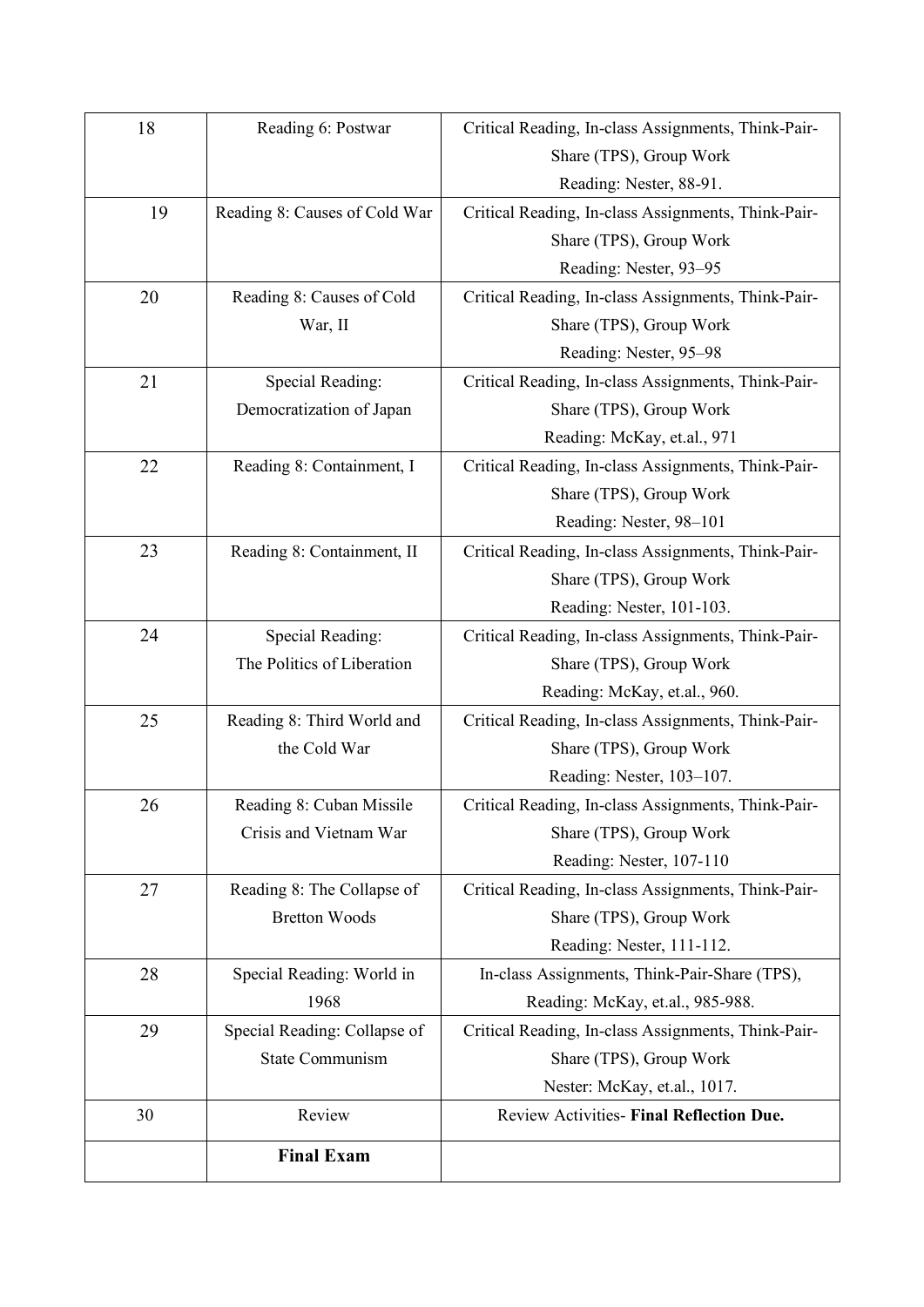| 18 | Reading 6: Postwar            | Critical Reading, In-class Assignments, Think-Pair- |
|----|-------------------------------|-----------------------------------------------------|
|    |                               | Share (TPS), Group Work                             |
|    |                               | Reading: Nester, 88-91.                             |
| 19 | Reading 8: Causes of Cold War | Critical Reading, In-class Assignments, Think-Pair- |
|    |                               | Share (TPS), Group Work                             |
|    |                               | Reading: Nester, 93-95                              |
| 20 | Reading 8: Causes of Cold     | Critical Reading, In-class Assignments, Think-Pair- |
|    | War, II                       | Share (TPS), Group Work                             |
|    |                               | Reading: Nester, 95-98                              |
| 21 | Special Reading:              | Critical Reading, In-class Assignments, Think-Pair- |
|    | Democratization of Japan      | Share (TPS), Group Work                             |
|    |                               | Reading: McKay, et.al., 971                         |
| 22 | Reading 8: Containment, I     | Critical Reading, In-class Assignments, Think-Pair- |
|    |                               | Share (TPS), Group Work                             |
|    |                               | Reading: Nester, 98-101                             |
| 23 | Reading 8: Containment, II    | Critical Reading, In-class Assignments, Think-Pair- |
|    |                               | Share (TPS), Group Work                             |
|    |                               | Reading: Nester, 101-103.                           |
| 24 | Special Reading:              | Critical Reading, In-class Assignments, Think-Pair- |
|    | The Politics of Liberation    | Share (TPS), Group Work                             |
|    |                               | Reading: McKay, et.al., 960.                        |
| 25 | Reading 8: Third World and    | Critical Reading, In-class Assignments, Think-Pair- |
|    | the Cold War                  | Share (TPS), Group Work                             |
|    |                               | Reading: Nester, 103-107.                           |
| 26 | Reading 8: Cuban Missile      | Critical Reading, In-class Assignments, Think-Pair- |
|    | Crisis and Vietnam War        | Share (TPS), Group Work                             |
|    |                               | Reading: Nester, 107-110                            |
| 27 | Reading 8: The Collapse of    | Critical Reading, In-class Assignments, Think-Pair- |
|    | <b>Bretton Woods</b>          | Share (TPS), Group Work                             |
|    |                               | Reading: Nester, 111-112.                           |
| 28 | Special Reading: World in     | In-class Assignments, Think-Pair-Share (TPS),       |
|    | 1968                          | Reading: McKay, et.al., 985-988.                    |
| 29 | Special Reading: Collapse of  | Critical Reading, In-class Assignments, Think-Pair- |
|    | <b>State Communism</b>        | Share (TPS), Group Work                             |
|    |                               | Nester: McKay, et.al., 1017.                        |
| 30 | Review                        | Review Activities- Final Reflection Due.            |
|    | <b>Final Exam</b>             |                                                     |
|    |                               |                                                     |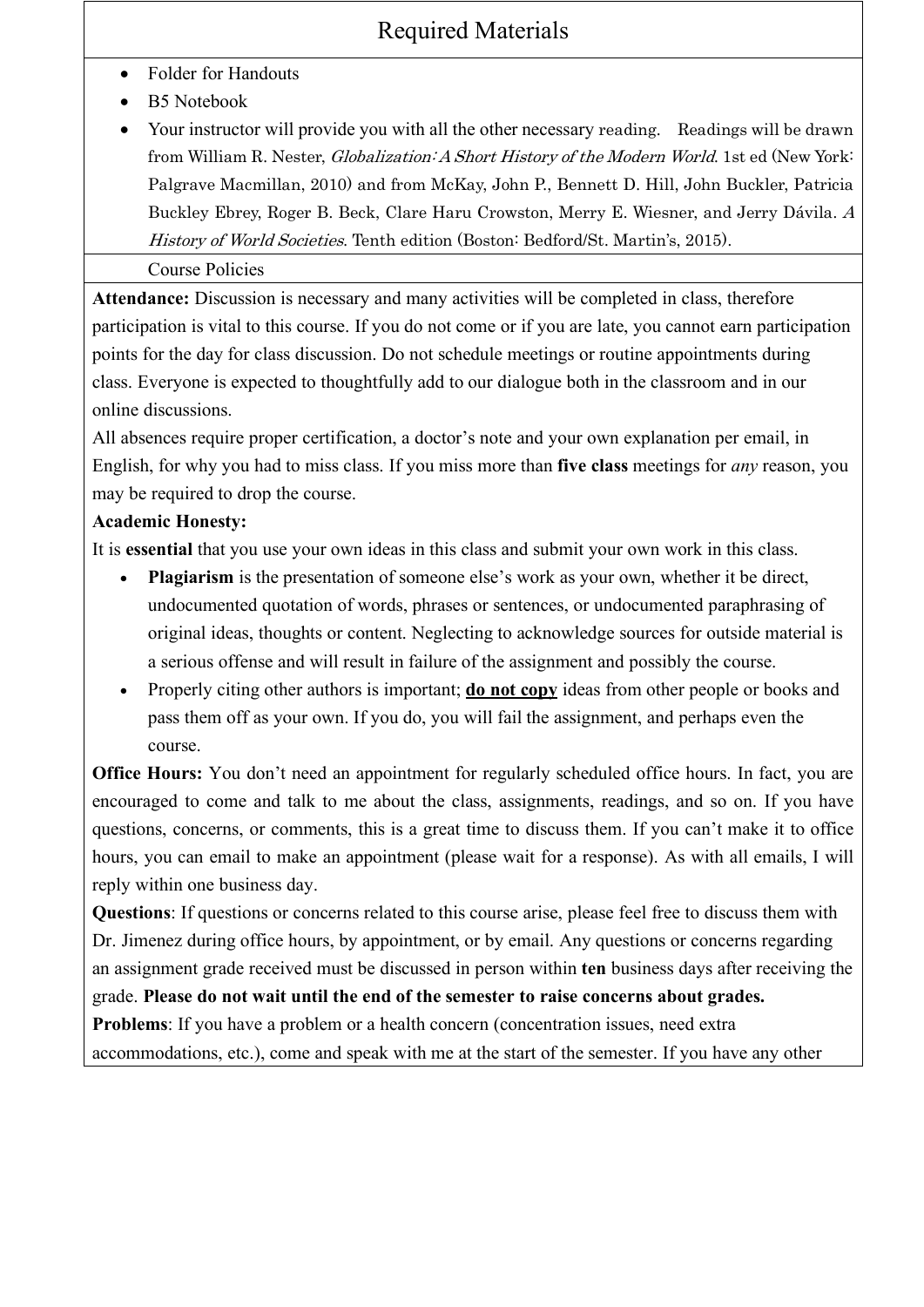## Required Materials

- Folder for Handouts
- B5 Notebook
- Your instructor will provide you with all the other necessary reading. Readings will be drawn from William R. Nester, *Globalization: A Short History of the Modern World*. 1st ed (New York: Palgrave Macmillan, 2010) and from McKay, John P., Bennett D. Hill, John Buckler, Patricia Buckley Ebrey, Roger B. Beck, Clare Haru Crowston, Merry E. Wiesner, and Jerry Dávila. A History of World Societies. Tenth edition (Boston: Bedford/St. Martin's, 2015).

### Course Policies

**Attendance:** Discussion is necessary and many activities will be completed in class, therefore participation is vital to this course. If you do not come or if you are late, you cannot earn participation points for the day for class discussion. Do not schedule meetings or routine appointments during class. Everyone is expected to thoughtfully add to our dialogue both in the classroom and in our online discussions.

All absences require proper certification, a doctor's note and your own explanation per email, in English, for why you had to miss class. If you miss more than **five class** meetings for *any* reason, you may be required to drop the course.

#### **Academic Honesty:**

It is **essential** that you use your own ideas in this class and submit your own work in this class.

- **Plagiarism** is the presentation of someone else's work as your own, whether it be direct, undocumented quotation of words, phrases or sentences, or undocumented paraphrasing of original ideas, thoughts or content. Neglecting to acknowledge sources for outside material is a serious offense and will result in failure of the assignment and possibly the course.
- Properly citing other authors is important; **do not copy** ideas from other people or books and pass them off as your own. If you do, you will fail the assignment, and perhaps even the course.

**Office Hours:** You don't need an appointment for regularly scheduled office hours. In fact, you are encouraged to come and talk to me about the class, assignments, readings, and so on. If you have questions, concerns, or comments, this is a great time to discuss them. If you can't make it to office hours, you can email to make an appointment (please wait for a response). As with all emails, I will reply within one business day.

**Questions**: If questions or concerns related to this course arise, please feel free to discuss them with Dr. Jimenez during office hours, by appointment, or by email. Any questions or concerns regarding an assignment grade received must be discussed in person within **ten** business days after receiving the grade. **Please do not wait until the end of the semester to raise concerns about grades. Problems**: If you have a problem or a health concern (concentration issues, need extra accommodations, etc.), come and speak with me at the start of the semester. If you have any other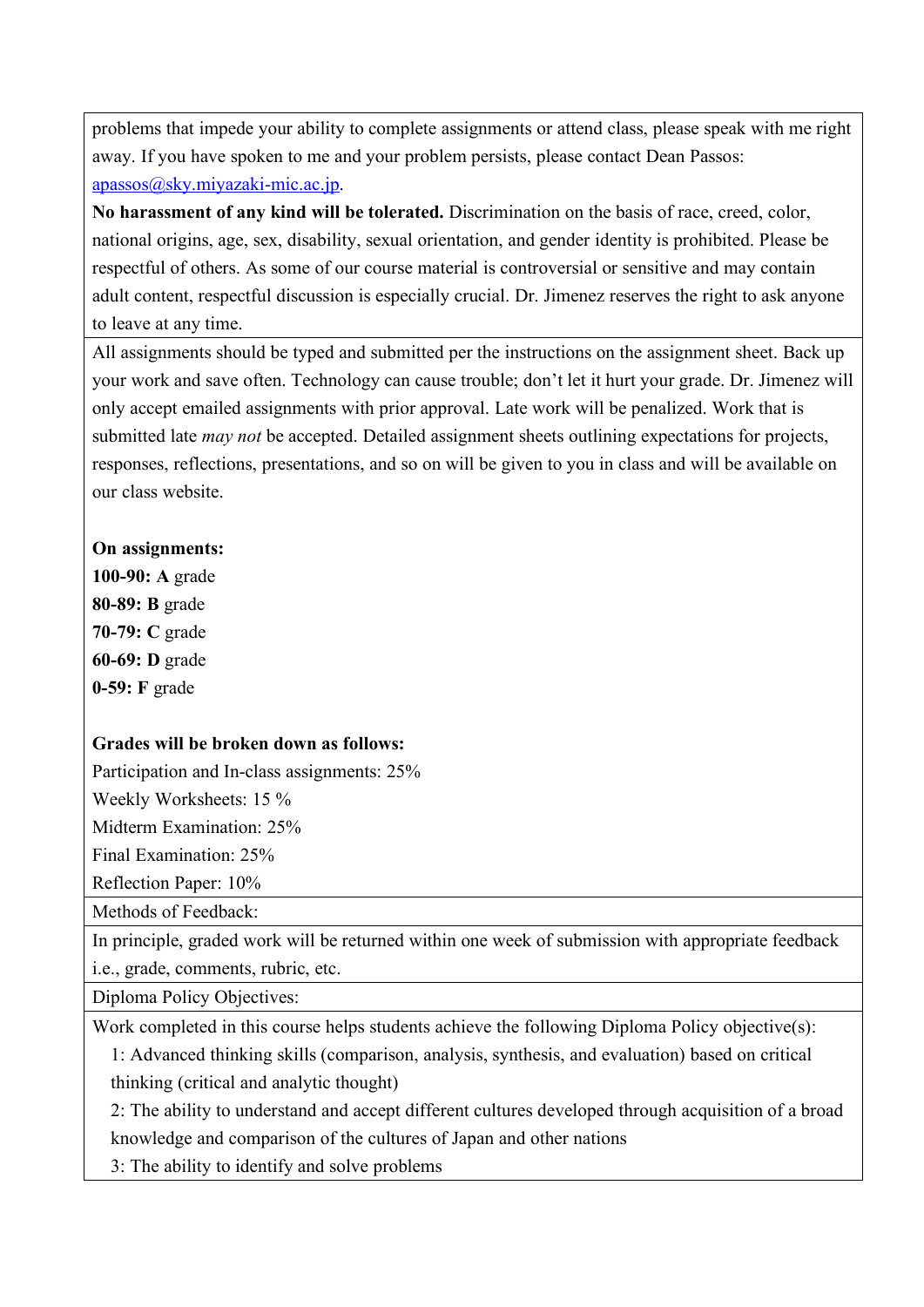problems that impede your ability to complete assignments or attend class, please speak with me right away. If you have spoken to me and your problem persists, please contact Dean Passos: apassos@sky.miyazaki-mic.ac.jp.

**No harassment of any kind will be tolerated.** Discrimination on the basis of race, creed, color, national origins, age, sex, disability, sexual orientation, and gender identity is prohibited. Please be respectful of others. As some of our course material is controversial or sensitive and may contain adult content, respectful discussion is especially crucial. Dr. Jimenez reserves the right to ask anyone to leave at any time.

All assignments should be typed and submitted per the instructions on the assignment sheet. Back up your work and save often. Technology can cause trouble; don't let it hurt your grade. Dr. Jimenez will only accept emailed assignments with prior approval. Late work will be penalized. Work that is submitted late *may not* be accepted. Detailed assignment sheets outlining expectations for projects, responses, reflections, presentations, and so on will be given to you in class and will be available on our class website.

#### **On assignments:**

**100-90: A** grade **80-89: B** grade **70-79: C** grade **60-69: D** grade **0-59: F** grade

#### **Grades will be broken down as follows:**

Participation and In-class assignments: 25%

Weekly Worksheets: 15 %

Midterm Examination: 25%

Final Examination: 25%

Reflection Paper: 10%

Methods of Feedback:

In principle, graded work will be returned within one week of submission with appropriate feedback i.e., grade, comments, rubric, etc.

Diploma Policy Objectives:

Work completed in this course helps students achieve the following Diploma Policy objective(s):

1: Advanced thinking skills (comparison, analysis, synthesis, and evaluation) based on critical thinking (critical and analytic thought)

2: The ability to understand and accept different cultures developed through acquisition of a broad knowledge and comparison of the cultures of Japan and other nations

3: The ability to identify and solve problems